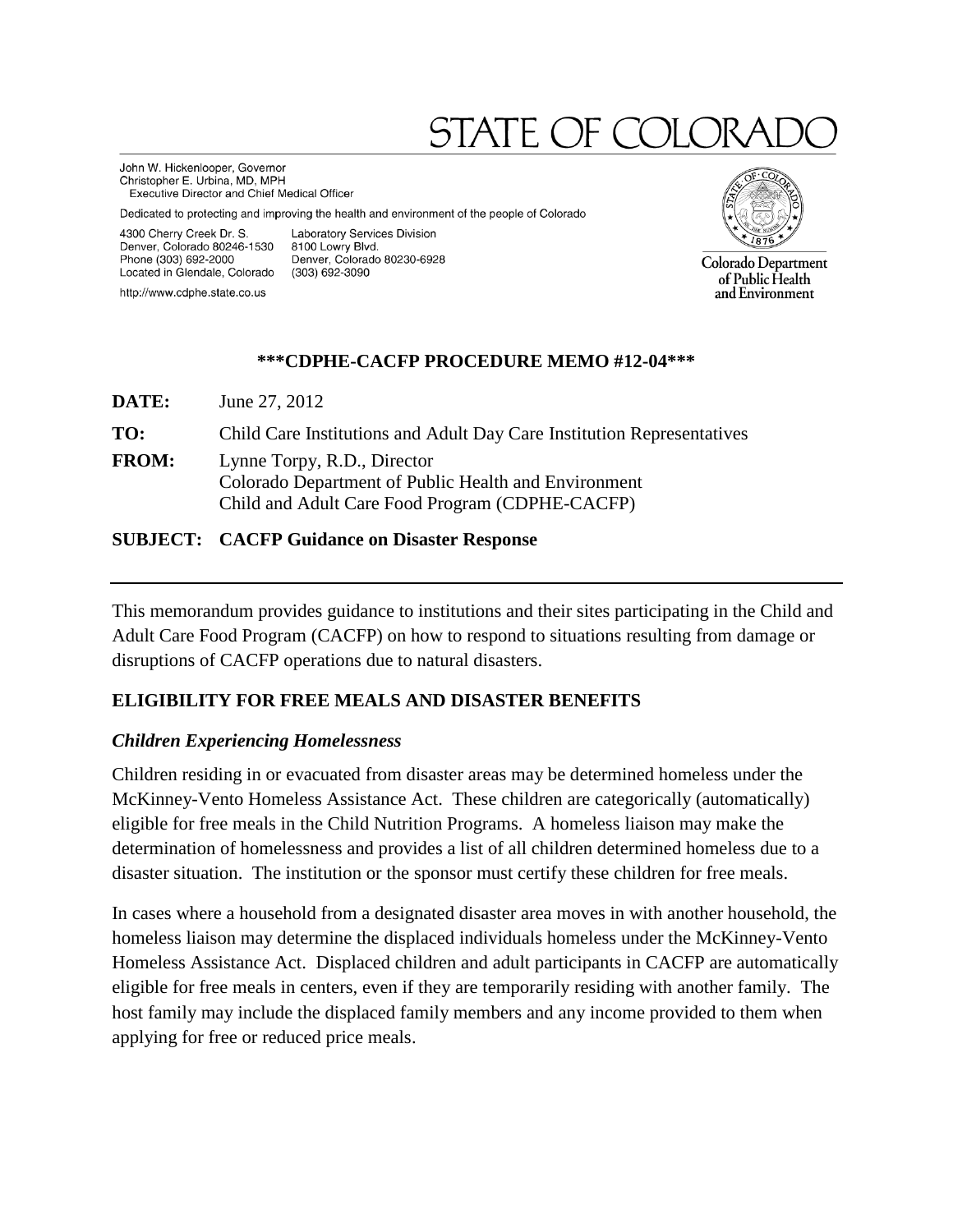# STATE OF COLO

John W. Hickenlooper, Governor Christopher E. Urbina, MD, MPH **Executive Director and Chief Medical Officer** 

Dedicated to protecting and improving the health and environment of the people of Colorado

4300 Cherry Creek Dr. S. Denver, Colorado 80246-1530 Phone (303) 692-2000 Located in Glendale, Colorado

http://www.cdphe.state.co.us

Laboratory Services Division 8100 Lowry Blvd. Denver, Colorado 80230-6928 (303) 692-3090



Colorado Department of Public Health and Environment

#### **\*\*\*CDPHE-CACFP PROCEDURE MEMO #12-04\*\*\***

**DATE:** June 27, 2012 **TO:** Child Care Institutions and Adult Day Care Institution Representatives **FROM:** Lynne Torpy, R.D., Director Colorado Department of Public Health and Environment Child and Adult Care Food Program (CDPHE-CACFP)

#### **SUBJECT: CACFP Guidance on Disaster Response**

This memorandum provides guidance to institutions and their sites participating in the Child and Adult Care Food Program (CACFP) on how to respond to situations resulting from damage or disruptions of CACFP operations due to natural disasters.

## **ELIGIBILITY FOR FREE MEALS AND DISASTER BENEFITS**

## *Children Experiencing Homelessness*

Children residing in or evacuated from disaster areas may be determined homeless under the McKinney-Vento Homeless Assistance Act. These children are categorically (automatically) eligible for free meals in the Child Nutrition Programs. A homeless liaison may make the determination of homelessness and provides a list of all children determined homeless due to a disaster situation. The institution or the sponsor must certify these children for free meals.

In cases where a household from a designated disaster area moves in with another household, the homeless liaison may determine the displaced individuals homeless under the McKinney-Vento Homeless Assistance Act. Displaced children and adult participants in CACFP are automatically eligible for free meals in centers, even if they are temporarily residing with another family. The host family may include the displaced family members and any income provided to them when applying for free or reduced price meals.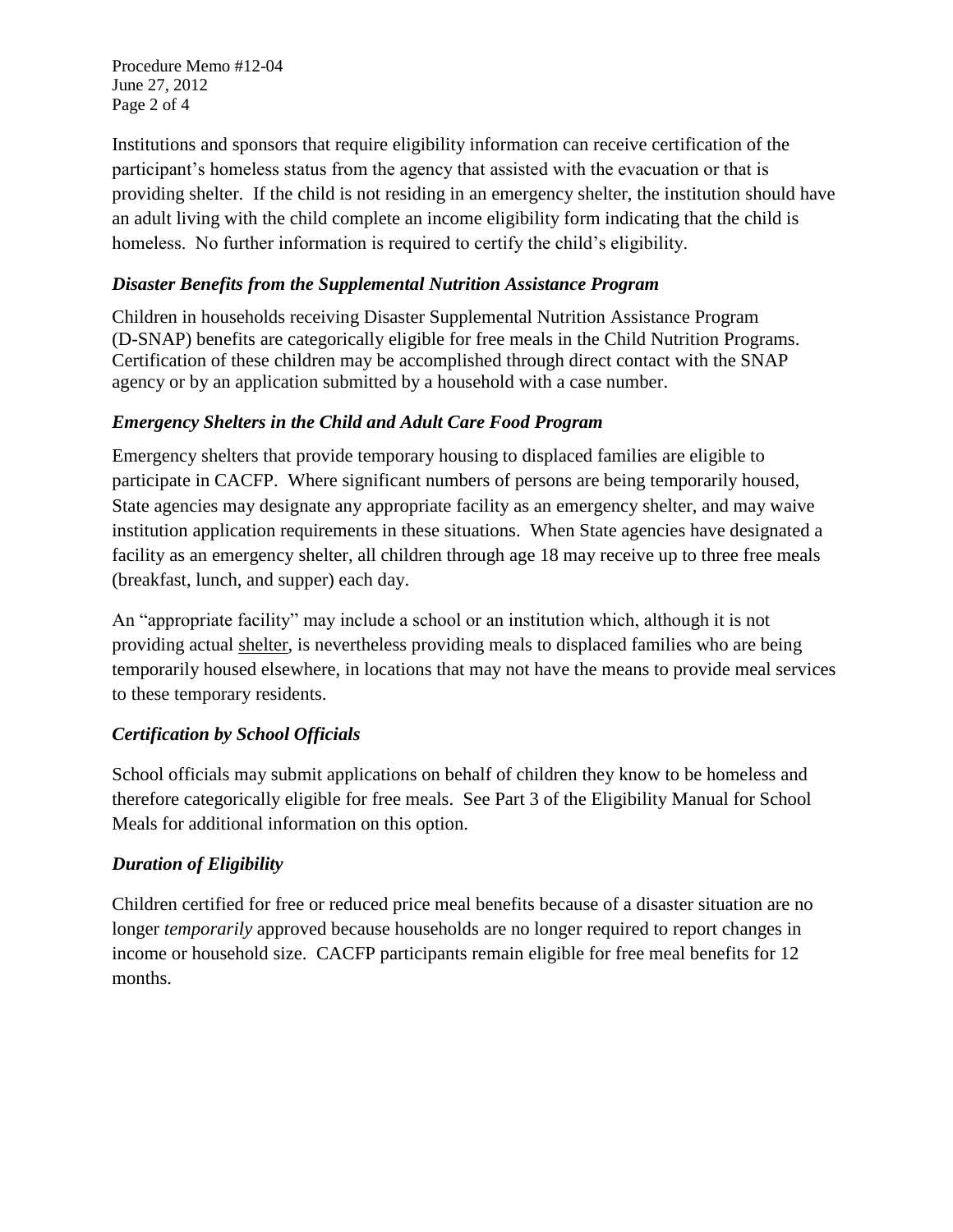Procedure Memo #12-04 June 27, 2012 Page 2 of 4

Institutions and sponsors that require eligibility information can receive certification of the participant's homeless status from the agency that assisted with the evacuation or that is providing shelter. If the child is not residing in an emergency shelter, the institution should have an adult living with the child complete an income eligibility form indicating that the child is homeless. No further information is required to certify the child's eligibility.

## *Disaster Benefits from the Supplemental Nutrition Assistance Program*

Children in households receiving Disaster Supplemental Nutrition Assistance Program (D-SNAP) benefits are categorically eligible for free meals in the Child Nutrition Programs. Certification of these children may be accomplished through direct contact with the SNAP agency or by an application submitted by a household with a case number.

## *Emergency Shelters in the Child and Adult Care Food Program*

Emergency shelters that provide temporary housing to displaced families are eligible to participate in CACFP. Where significant numbers of persons are being temporarily housed, State agencies may designate any appropriate facility as an emergency shelter, and may waive institution application requirements in these situations. When State agencies have designated a facility as an emergency shelter, all children through age 18 may receive up to three free meals (breakfast, lunch, and supper) each day.

An "appropriate facility" may include a school or an institution which, although it is not providing actual shelter, is nevertheless providing meals to displaced families who are being temporarily housed elsewhere, in locations that may not have the means to provide meal services to these temporary residents.

# *Certification by School Officials*

School officials may submit applications on behalf of children they know to be homeless and therefore categorically eligible for free meals. See Part 3 of the Eligibility Manual for School Meals for additional information on this option.

# *Duration of Eligibility*

Children certified for free or reduced price meal benefits because of a disaster situation are no longer *temporarily* approved because households are no longer required to report changes in income or household size. CACFP participants remain eligible for free meal benefits for 12 months.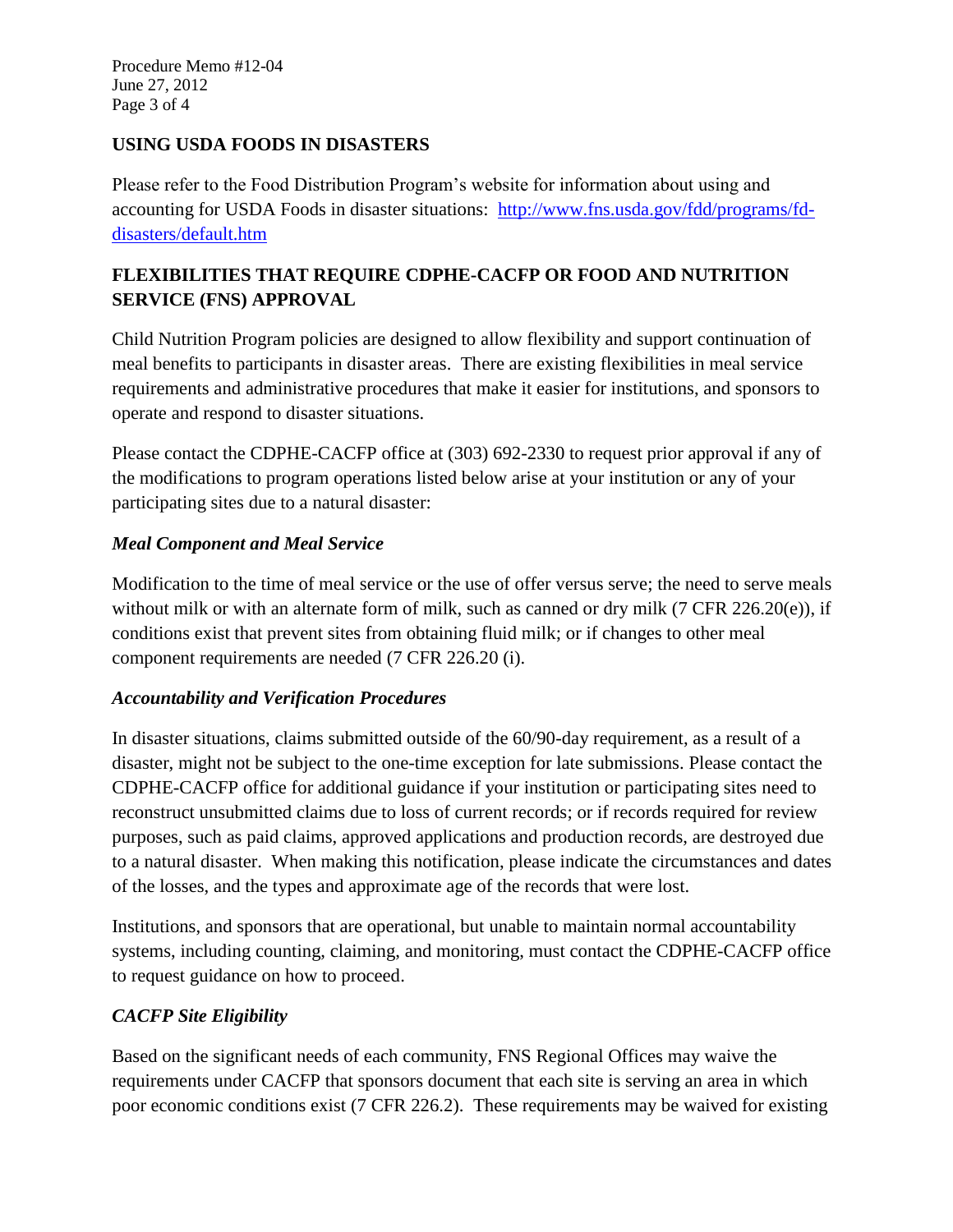Procedure Memo #12-04 June 27, 2012 Page 3 of 4

## **USING USDA FOODS IN DISASTERS**

Please refer to the Food Distribution Program's website for information about using and accounting for USDA Foods in disaster situations: [http://www.fns.usda.gov/fdd/programs/fd](http://www.fns.usda.gov/fdd/programs/fd-disasters/default.htm)[disasters/default.htm](http://www.fns.usda.gov/fdd/programs/fd-disasters/default.htm)

# **FLEXIBILITIES THAT REQUIRE CDPHE-CACFP OR FOOD AND NUTRITION SERVICE (FNS) APPROVAL**

Child Nutrition Program policies are designed to allow flexibility and support continuation of meal benefits to participants in disaster areas. There are existing flexibilities in meal service requirements and administrative procedures that make it easier for institutions, and sponsors to operate and respond to disaster situations.

Please contact the CDPHE-CACFP office at (303) 692-2330 to request prior approval if any of the modifications to program operations listed below arise at your institution or any of your participating sites due to a natural disaster:

## *Meal Component and Meal Service*

Modification to the time of meal service or the use of offer versus serve; the need to serve meals without milk or with an alternate form of milk, such as canned or dry milk (7 CFR 226.20(e)), if conditions exist that prevent sites from obtaining fluid milk; or if changes to other meal component requirements are needed (7 CFR 226.20 (i).

## *Accountability and Verification Procedures*

In disaster situations, claims submitted outside of the 60/90-day requirement, as a result of a disaster, might not be subject to the one-time exception for late submissions. Please contact the CDPHE-CACFP office for additional guidance if your institution or participating sites need to reconstruct unsubmitted claims due to loss of current records; or if records required for review purposes, such as paid claims, approved applications and production records, are destroyed due to a natural disaster. When making this notification, please indicate the circumstances and dates of the losses, and the types and approximate age of the records that were lost.

Institutions, and sponsors that are operational, but unable to maintain normal accountability systems, including counting, claiming, and monitoring, must contact the CDPHE-CACFP office to request guidance on how to proceed.

# *CACFP Site Eligibility*

Based on the significant needs of each community, FNS Regional Offices may waive the requirements under CACFP that sponsors document that each site is serving an area in which poor economic conditions exist (7 CFR 226.2). These requirements may be waived for existing